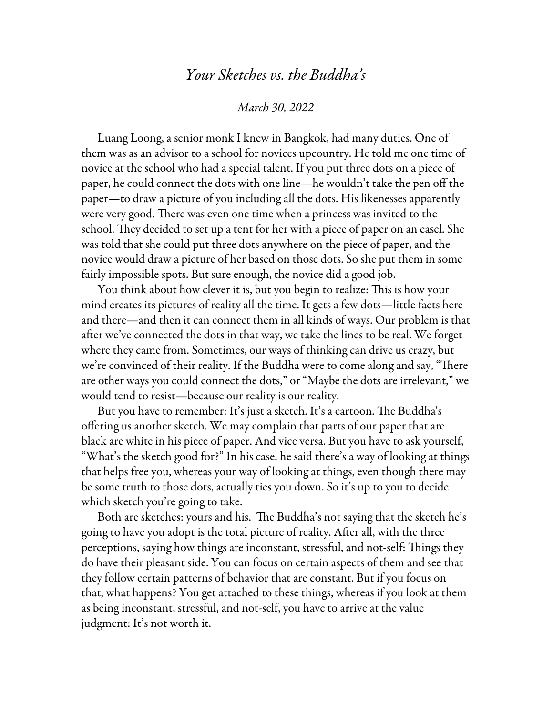## *Your Sketches vs. the Buddha's*

## *March 30, 2022*

Luang Loong, a senior monk I knew in Bangkok, had many duties. One of them was as an advisor to a school for novices upcountry. He told me one time of novice at the school who had a special talent. If you put three dots on a piece of paper, he could connect the dots with one line—he wouldn't take the pen off the paper—to draw a picture of you including all the dots. His likenesses apparently were very good. There was even one time when a princess was invited to the school. They decided to set up a tent for her with a piece of paper on an easel. She was told that she could put three dots anywhere on the piece of paper, and the novice would draw a picture of her based on those dots. So she put them in some fairly impossible spots. But sure enough, the novice did a good job.

You think about how clever it is, but you begin to realize: This is how your mind creates its pictures of reality all the time. It gets a few dots—little facts here and there—and then it can connect them in all kinds of ways. Our problem is that after we've connected the dots in that way, we take the lines to be real. We forget where they came from. Sometimes, our ways of thinking can drive us crazy, but we're convinced of their reality. If the Buddha were to come along and say, "There are other ways you could connect the dots," or "Maybe the dots are irrelevant," we would tend to resist—because our reality is our reality.

But you have to remember: It's just a sketch. It's a cartoon. The Buddha's offering us another sketch. We may complain that parts of our paper that are black are white in his piece of paper. And vice versa. But you have to ask yourself, "What's the sketch good for?" In his case, he said there's a way of looking at things that helps free you, whereas your way of looking at things, even though there may be some truth to those dots, actually ties you down. So it's up to you to decide which sketch you're going to take.

Both are sketches: yours and his. The Buddha's not saying that the sketch he's going to have you adopt is the total picture of reality. After all, with the three perceptions, saying how things are inconstant, stressful, and not-self: Things they do have their pleasant side. You can focus on certain aspects of them and see that they follow certain patterns of behavior that are constant. But if you focus on that, what happens? You get attached to these things, whereas if you look at them as being inconstant, stressful, and not-self, you have to arrive at the value judgment: It's not worth it.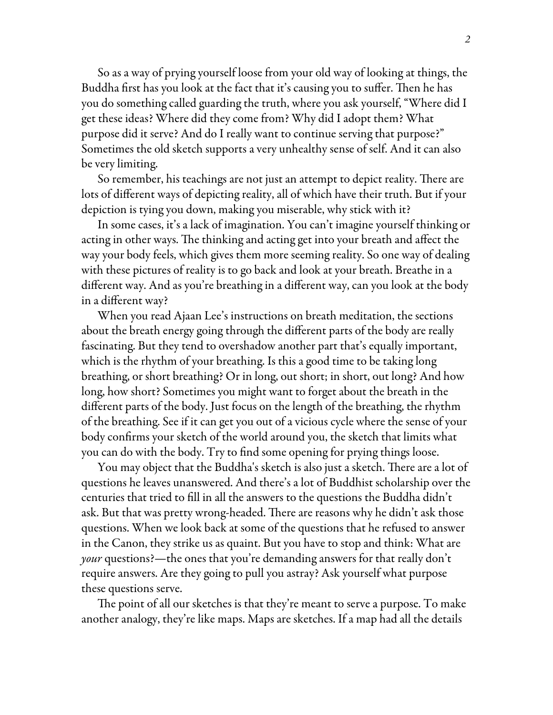So as a way of prying yourself loose from your old way of looking at things, the Buddha first has you look at the fact that it's causing you to suffer. Then he has you do something called guarding the truth, where you ask yourself, "Where did I get these ideas? Where did they come from? Why did I adopt them? What purpose did it serve? And do I really want to continue serving that purpose?" Sometimes the old sketch supports a very unhealthy sense of self. And it can also be very limiting.

So remember, his teachings are not just an attempt to depict reality. There are lots of different ways of depicting reality, all of which have their truth. But if your depiction is tying you down, making you miserable, why stick with it?

In some cases, it's a lack of imagination. You can't imagine yourself thinking or acting in other ways. The thinking and acting get into your breath and affect the way your body feels, which gives them more seeming reality. So one way of dealing with these pictures of reality is to go back and look at your breath. Breathe in a different way. And as you're breathing in a different way, can you look at the body in a different way?

When you read Ajaan Lee's instructions on breath meditation, the sections about the breath energy going through the different parts of the body are really fascinating. But they tend to overshadow another part that's equally important, which is the rhythm of your breathing. Is this a good time to be taking long breathing, or short breathing? Or in long, out short; in short, out long? And how long, how short? Sometimes you might want to forget about the breath in the different parts of the body. Just focus on the length of the breathing, the rhythm of the breathing. See if it can get you out of a vicious cycle where the sense of your body confirms your sketch of the world around you, the sketch that limits what you can do with the body. Try to find some opening for prying things loose.

You may object that the Buddha's sketch is also just a sketch. There are a lot of questions he leaves unanswered. And there's a lot of Buddhist scholarship over the centuries that tried to fill in all the answers to the questions the Buddha didn't ask. But that was pretty wrong-headed. There are reasons why he didn't ask those questions. When we look back at some of the questions that he refused to answer in the Canon, they strike us as quaint. But you have to stop and think: What are *your* questions?—the ones that you're demanding answers for that really don't require answers. Are they going to pull you astray? Ask yourself what purpose these questions serve.

The point of all our sketches is that they're meant to serve a purpose. To make another analogy, they're like maps. Maps are sketches. If a map had all the details